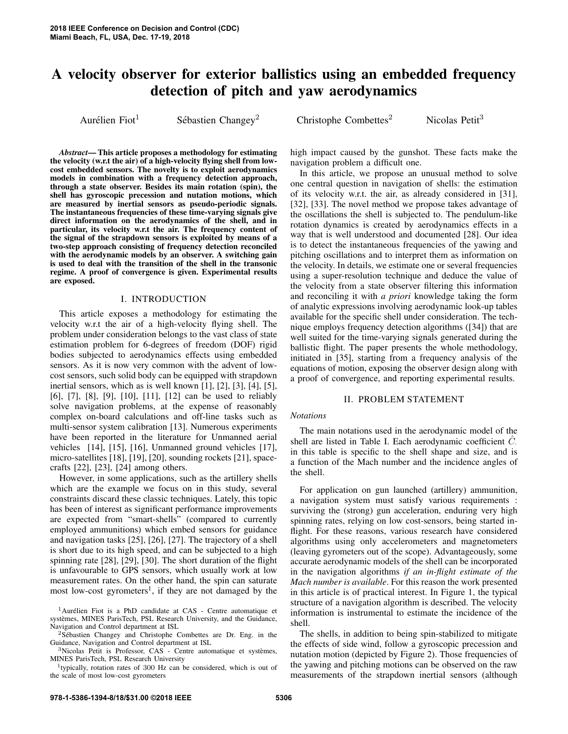# A velocity observer for exterior ballistics using an embedded frequency detection of pitch and yaw aerodynamics

Aurélien Fiot $<sup>1</sup>$ </sup>

Sébastien Changey<sup>2</sup>

 $Christophe Combettes<sup>2</sup>$  Nicolas Petit<sup>3</sup>

*Abstract*— This article proposes a methodology for estimating the velocity (w.r.t the air) of a high-velocity flying shell from lowcost embedded sensors. The novelty is to exploit aerodynamics models in combination with a frequency detection approach, through a state observer. Besides its main rotation (spin), the shell has gyroscopic precession and nutation motions, which are measured by inertial sensors as pseudo-periodic signals. The instantaneous frequencies of these time-varying signals give direct information on the aerodynamics of the shell, and in particular, its velocity w.r.t the air. The frequency content of the signal of the strapdown sensors is exploited by means of a two-step approach consisting of frequency detection reconciled with the aerodynamic models by an observer. A switching gain is used to deal with the transition of the shell in the transonic regime. A proof of convergence is given. Experimental results are exposed.

# I. INTRODUCTION

This article exposes a methodology for estimating the velocity w.r.t the air of a high-velocity flying shell. The problem under consideration belongs to the vast class of state estimation problem for 6-degrees of freedom (DOF) rigid bodies subjected to aerodynamics effects using embedded sensors. As it is now very common with the advent of lowcost sensors, such solid body can be equipped with strapdown inertial sensors, which as is well known [1], [2], [3], [4], [5], [6], [7], [8], [9], [10], [11], [12] can be used to reliably solve navigation problems, at the expense of reasonably complex on-board calculations and off-line tasks such as multi-sensor system calibration [13]. Numerous experiments have been reported in the literature for Unmanned aerial vehicles [14], [15], [16], Unmanned ground vehicles [17], micro-satellites [18], [19], [20], sounding rockets [21], spacecrafts [22], [23], [24] among others.

However, in some applications, such as the artillery shells which are the example we focus on in this study, several constraints discard these classic techniques. Lately, this topic has been of interest as significant performance improvements are expected from "smart-shells" (compared to currently employed ammunitions) which embed sensors for guidance and navigation tasks [25], [26], [27]. The trajectory of a shell is short due to its high speed, and can be subjected to a high spinning rate [28], [29], [30]. The short duration of the flight is unfavourable to GPS sensors, which usually work at low measurement rates. On the other hand, the spin can saturate most low-cost gyrometers<sup>1</sup>, if they are not damaged by the

high impact caused by the gunshot. These facts make the navigation problem a difficult one.

In this article, we propose an unusual method to solve one central question in navigation of shells: the estimation of its velocity w.r.t. the air, as already considered in [31], [32], [33]. The novel method we propose takes advantage of the oscillations the shell is subjected to. The pendulum-like rotation dynamics is created by aerodynamics effects in a way that is well understood and documented [28]. Our idea is to detect the instantaneous frequencies of the yawing and pitching oscillations and to interpret them as information on the velocity. In details, we estimate one or several frequencies using a super-resolution technique and deduce the value of the velocity from a state observer filtering this information and reconciling it with *a priori* knowledge taking the form of analytic expressions involving aerodynamic look-up tables available for the specific shell under consideration. The technique employs frequency detection algorithms ([34]) that are well suited for the time-varying signals generated during the ballistic flight. The paper presents the whole methodology, initiated in [35], starting from a frequency analysis of the equations of motion, exposing the observer design along with a proof of convergence, and reporting experimental results.

# II. PROBLEM STATEMENT

## *Notations*

The main notations used in the aerodynamic model of the shell are listed in Table I. Each aerodynamic coefficient  $\hat{C}$ . in this table is specific to the shell shape and size, and is a function of the Mach number and the incidence angles of the shell.

For application on gun launched (artillery) ammunition, a navigation system must satisfy various requirements : surviving the (strong) gun acceleration, enduring very high spinning rates, relying on low cost-sensors, being started inflight. For these reasons, various research have considered algorithms using only accelerometers and magnetometers (leaving gyrometers out of the scope). Advantageously, some accurate aerodynamic models of the shell can be incorporated in the navigation algorithms *if an in-flight estimate of the Mach number is available*. For this reason the work presented in this article is of practical interest. In Figure 1, the typical structure of a navigation algorithm is described. The velocity information is instrumental to estimate the incidence of the shell.

The shells, in addition to being spin-stabilized to mitigate the effects of side wind, follow a gyroscopic precession and nutation motion (depicted by Figure 2). Those frequencies of the yawing and pitching motions can be observed on the raw measurements of the strapdown inertial sensors (although

 $1$ Aurélien Fiot is a PhD candidate at CAS - Centre automatique et systemes, MINES ParisTech, PSL Research University, and the Guidance, ` Navigation and Control department at ISL

 $2Sébastien$  Changey and Christophe Combettes are Dr. Eng. in the Guidance, Navigation and Control department at ISL

 $3$ Nicolas Petit is Professor, CAS - Centre automatique et systèmes, MINES ParisTech, PSL Research University

<sup>&</sup>lt;sup>1</sup>typically, rotation rates of 300 Hz can be considered, which is out of the scale of most low-cost gyrometers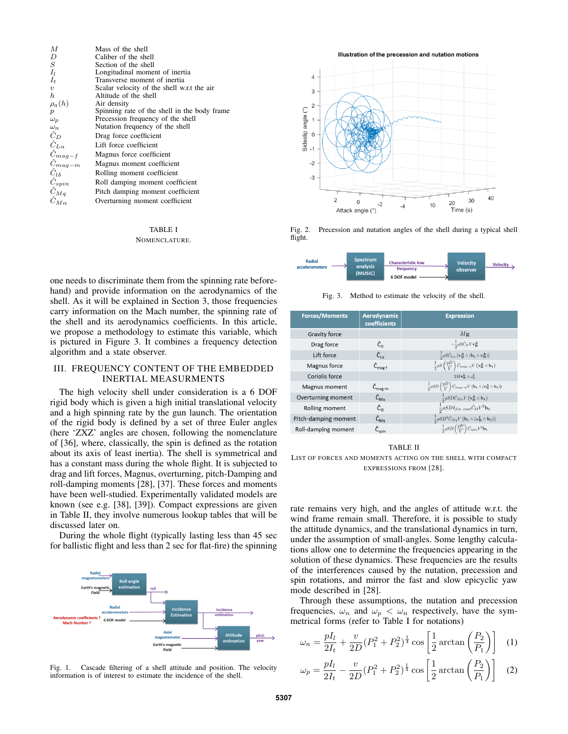| M                   | Mass of the shell                            |
|---------------------|----------------------------------------------|
| D                   | Caliber of the shell                         |
| S                   | Section of the shell                         |
| $I_l$               | Longitudinal moment of inertia               |
| $I_t$               | Transverse moment of inertia                 |
| $\boldsymbol{v}$    | Scalar velocity of the shell w.r.t the air   |
| h                   | Altitude of the shell                        |
| $\rho_a(h)$         | Air density                                  |
| $\boldsymbol{p}$    | Spinning rate of the shell in the body frame |
| $\omega_p$          | Precession frequency of the shell            |
| $\omega_n$          | Nutation frequency of the shell              |
| $\hat{C}_D$         | Drag force coefficient                       |
| $\hat{C}_{L\alpha}$ | Lift force coefficient                       |
| $\hat{C}_{mag-f}$   | Magnus force coefficient                     |
| $\hat{C}_{mag-m}$   | Magnus moment coefficient                    |
| $C_{l\delta}$       | Rolling moment coefficient                   |
| $\hat{C}_{spin}$    | Roll damping moment coefficient              |
| $\hat{C}_{Mq}$      | Pitch damping moment coefficient             |
| $\hat{C}_{M\alpha}$ | Overturning moment coefficient               |

# TABLE I NOMENCLATURE.

one needs to discriminate them from the spinning rate beforehand) and provide information on the aerodynamics of the shell. As it will be explained in Section 3, those frequencies carry information on the Mach number, the spinning rate of the shell and its aerodynamics coefficients. In this article, we propose a methodology to estimate this variable, which is pictured in Figure 3. It combines a frequency detection algorithm and a state observer.

# III. FREQUENCY CONTENT OF THE EMBEDDED INERTIAL MEASURMENTS

The high velocity shell under consideration is a 6 DOF rigid body which is given a high initial translational velocity and a high spinning rate by the gun launch. The orientation of the rigid body is defined by a set of three Euler angles (here 'ZXZ' angles are chosen, following the nomenclature of [36], where, classically, the spin is defined as the rotation about its axis of least inertia). The shell is symmetrical and has a constant mass during the whole flight. It is subjected to drag and lift forces, Magnus, overturning, pitch-Damping and roll-damping moments [28], [37]. These forces and moments have been well-studied. Experimentally validated models are known (see e.g. [38], [39]). Compact expressions are given in Table II, they involve numerous lookup tables that will be discussed later on.

During the whole flight (typically lasting less than 45 sec for ballistic flight and less than 2 sec for flat-fire) the spinning



Fig. 1. Cascade filtering of a shell attitude and position. The velocity information is of interest to estimate the incidence of the shell.

Illustration of the precession and nutation motions



Fig. 2. Precession and nutation angles of the shell during a typical shell flight.



Fig. 3. Method to estimate the velocity of the shell.

| <b>Forces/Moments</b> | Aerodynamic<br>coefficients           | <b>Expression</b>                                                                                                                                                   |
|-----------------------|---------------------------------------|---------------------------------------------------------------------------------------------------------------------------------------------------------------------|
| Gravity force         |                                       | Mg                                                                                                                                                                  |
| Drag force            | Ĉ <sub>n</sub>                        | $-\frac{1}{2}\rho S\hat{C}_D V \mathbf{v_B^A}$                                                                                                                      |
| Lift force            | $\hat{C}_{1\alpha}$                   | $\frac{1}{2}\rho S\hat{C}_{L\alpha}\left(\mathbf{v}_{\mathbf{B}}^{\mathbf{A}}\wedge(\mathbf{b}_{\mathbf{1}}\wedge\mathbf{v}_{\mathbf{B}}^{\mathbf{A}})\right)$      |
| Magnus force          | $\hat{C}_{\text{max-f}}$              | $\frac{1}{2}\rho S\left(\frac{pD}{V}\right)\hat{C}_{mag-f}V\left(\mathbf{v}_{\mathbf{B}}^{\mathbf{A}}\wedge\mathbf{b}_{1}\right)$                                   |
| Coriolis force        |                                       | $2Mv_{\rm B}^{\rm L} \wedge \omega_{\rm L}^{\rm I}$                                                                                                                 |
| Magnus moment         | $\hat{C}_{mag-m}$                     | $\frac{1}{2} \rho SD\left(\frac{pD}{V}\right) \hat{C}_{mag-m} V\left(\mathbf{b}_1 \wedge (\mathbf{v}_\mathbf{B}^\mathbf{A} \wedge \mathbf{b}_1)\right)$             |
| Overturning moment    | $\hat{\mathsf{C}}_{\mathsf{M}\alpha}$ | $\frac{1}{2}\rho SD\hat{C}_{M\alpha}V\left(\mathbf{v_{B}^{A}}\wedge\mathbf{b_{1}}\right)\\ \frac{1}{2}\rho SD\delta_{fin~cant}\hat{C}_{l\delta}V^{2}\mathbf{b_{1}}$ |
| Rolling moment        | $\hat{C}_{16}$                        |                                                                                                                                                                     |
| Pitch-damping moment  | $\hat{\mathsf{C}}_{\mathsf{Ma}}$      | $\frac{1}{2}\rho SD^{2}\hat{C}_{Mq}V\left(\mathbf{b}_{1}\wedge(\omega_{\mathbf{B}}^{\mathbf{I}}\wedge\mathbf{b}_{1})\right)$                                        |
| Roll-damping moment   | $\hat{\mathsf{C}}_{\sf spin}$         | $\frac{1}{2}\rho SD\left(\frac{pD}{V}\right)\hat{C}_{spin}V^{2}b_{1}$                                                                                               |

#### TABLE II

LIST OF FORCES AND MOMENTS ACTING ON THE SHELL WITH COMPACT EXPRESSIONS FROM [28].

rate remains very high, and the angles of attitude w.r.t. the wind frame remain small. Therefore, it is possible to study the attitude dynamics, and the translational dynamics in turn, under the assumption of small-angles. Some lengthy calculations allow one to determine the frequencies appearing in the solution of these dynamics. These frequencies are the results of the interferences caused by the nutation, precession and spin rotations, and mirror the fast and slow epicyclic yaw mode described in [28].

Through these assumptions, the nutation and precession frequencies,  $\omega_n$  and  $\omega_p < \omega_n$  respectively, have the symmetrical forms (refer to Table I for notations)

$$
\omega_n = \frac{pI_l}{2I_t} + \frac{v}{2D}(P_1^2 + P_2^2)^{\frac{1}{4}} \cos\left[\frac{1}{2}\arctan\left(\frac{P_2}{P_1}\right)\right]
$$
 (1)

$$
\omega_p = \frac{pI_l}{2I_t} - \frac{v}{2D}(P_1^2 + P_2^2)^{\frac{1}{4}} \cos\left[\frac{1}{2}\arctan\left(\frac{P_2}{P_1}\right)\right]
$$
 (2)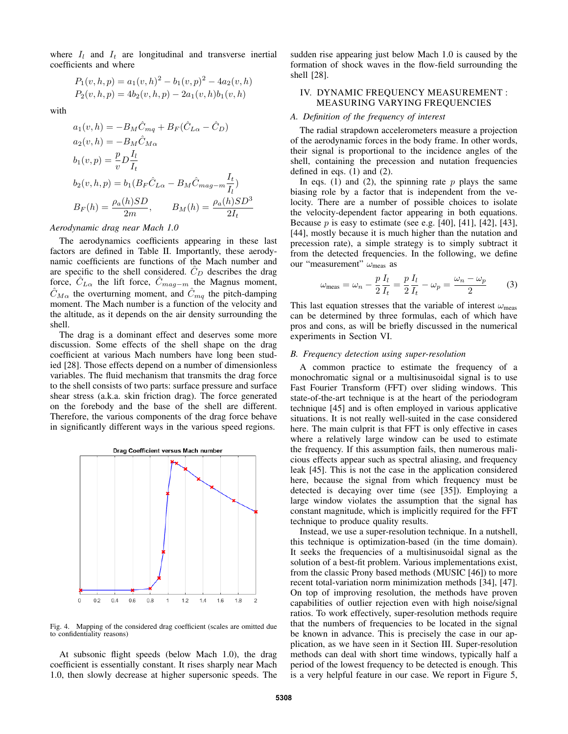where  $I_l$  and  $I_t$  are longitudinal and transverse inertial coefficients and where

$$
P_1(v, h, p) = a_1(v, h)^2 - b_1(v, p)^2 - 4a_2(v, h)
$$
  

$$
P_2(v, h, p) = 4b_2(v, h, p) - 2a_1(v, h)b_1(v, h)
$$

with

$$
a_1(v, h) = -B_M \hat{C}_{mq} + B_F(\hat{C}_{L\alpha} - \hat{C}_D)
$$
  
\n
$$
a_2(v, h) = -B_M \hat{C}_{M\alpha}
$$
  
\n
$$
b_1(v, p) = \frac{p}{v} D \frac{I_l}{I_t}
$$
  
\n
$$
b_2(v, h, p) = b_1 (B_F \hat{C}_{L\alpha} - B_M \hat{C}_{mag-m} \frac{I_t}{I_l})
$$
  
\n
$$
B_F(h) = \frac{\rho_a(h)SD}{2m}, \qquad B_M(h) = \frac{\rho_a(h)SD^3}{2I_t}
$$

*Aerodynamic drag near Mach 1.0*

The aerodynamics coefficients appearing in these last factors are defined in Table II. Importantly, these aerodynamic coefficients are functions of the Mach number and are specific to the shell considered.  $C_D$  describes the drag force,  $C_{L\alpha}$  the lift force,  $C_{mag-m}$  the Magnus moment,  $\hat{C}_{M\alpha}$  the overturning moment, and  $\hat{C}_{mq}$  the pitch-damping moment. The Mach number is a function of the velocity and the altitude, as it depends on the air density surrounding the shell.

The drag is a dominant effect and deserves some more discussion. Some effects of the shell shape on the drag coefficient at various Mach numbers have long been studied [28]. Those effects depend on a number of dimensionless variables. The fluid mechanism that transmits the drag force to the shell consists of two parts: surface pressure and surface shear stress (a.k.a. skin friction drag). The force generated on the forebody and the base of the shell are different. Therefore, the various components of the drag force behave in significantly different ways in the various speed regions.



Fig. 4. Mapping of the considered drag coefficient (scales are omitted due to confidentiality reasons)

At subsonic flight speeds (below Mach 1.0), the drag coefficient is essentially constant. It rises sharply near Mach 1.0, then slowly decrease at higher supersonic speeds. The sudden rise appearing just below Mach 1.0 is caused by the formation of shock waves in the flow-field surrounding the shell [28].

# IV. DYNAMIC FREQUENCY MEASUREMENT : MEASURING VARYING FREQUENCIES

## *A. Definition of the frequency of interest*

The radial strapdown accelerometers measure a projection of the aerodynamic forces in the body frame. In other words, their signal is proportional to the incidence angles of the shell, containing the precession and nutation frequencies defined in eqs. (1) and (2).

In eqs. (1) and (2), the spinning rate  $p$  plays the same biasing role by a factor that is independent from the velocity. There are a number of possible choices to isolate the velocity-dependent factor appearing in both equations. Because  $p$  is easy to estimate (see e.g. [40], [41], [42], [43], [44], mostly because it is much higher than the nutation and precession rate), a simple strategy is to simply subtract it from the detected frequencies. In the following, we define our "measurement"  $\omega_{\text{meas}}$  as

$$
\omega_{\text{meas}} = \omega_n - \frac{p}{2} \frac{I_l}{I_t} = \frac{p}{2} \frac{I_l}{I_t} - \omega_p = \frac{\omega_n - \omega_p}{2} \tag{3}
$$

This last equation stresses that the variable of interest  $\omega_{\text{meas}}$ can be determined by three formulas, each of which have pros and cons, as will be briefly discussed in the numerical experiments in Section VI.

#### *B. Frequency detection using super-resolution*

A common practice to estimate the frequency of a monochromatic signal or a multisinusoidal signal is to use Fast Fourier Transform (FFT) over sliding windows. This state-of-the-art technique is at the heart of the periodogram technique [45] and is often employed in various applicative situations. It is not really well-suited in the case considered here. The main culprit is that FFT is only effective in cases where a relatively large window can be used to estimate the frequency. If this assumption fails, then numerous malicious effects appear such as spectral aliasing, and frequency leak [45]. This is not the case in the application considered here, because the signal from which frequency must be detected is decaying over time (see [35]). Employing a large window violates the assumption that the signal has constant magnitude, which is implicitly required for the FFT technique to produce quality results.

Instead, we use a super-resolution technique. In a nutshell, this technique is optimization-based (in the time domain). It seeks the frequencies of a multisinusoidal signal as the solution of a best-fit problem. Various implementations exist, from the classic Prony based methods (MUSIC [46]) to more recent total-variation norm minimization methods [34], [47]. On top of improving resolution, the methods have proven capabilities of outlier rejection even with high noise/signal ratios. To work effectively, super-resolution methods require that the numbers of frequencies to be located in the signal be known in advance. This is precisely the case in our application, as we have seen in it Section III. Super-resolution methods can deal with short time windows, typically half a period of the lowest frequency to be detected is enough. This is a very helpful feature in our case. We report in Figure 5,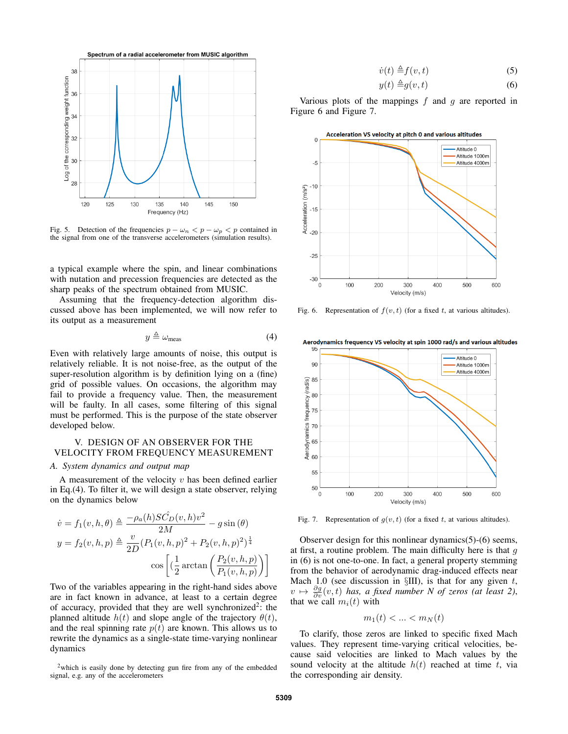

Fig. 5. Detection of the frequencies  $p - \omega_n < p - \omega_p < p$  contained in the signal from one of the transverse accelerometers (simulation results).

a typical example where the spin, and linear combinations with nutation and precession frequencies are detected as the sharp peaks of the spectrum obtained from MUSIC.

Assuming that the frequency-detection algorithm discussed above has been implemented, we will now refer to its output as a measurement

$$
y \triangleq \omega_{\text{meas}} \tag{4}
$$

Even with relatively large amounts of noise, this output is relatively reliable. It is not noise-free, as the output of the super-resolution algorithm is by definition lying on a (fine) grid of possible values. On occasions, the algorithm may fail to provide a frequency value. Then, the measurement will be faulty. In all cases, some filtering of this signal must be performed. This is the purpose of the state observer developed below.

# V. DESIGN OF AN OBSERVER FOR THE VELOCITY FROM FREQUENCY MEASUREMENT

# *A. System dynamics and output map*

A measurement of the velocity  $v$  has been defined earlier in Eq.(4). To filter it, we will design a state observer, relying on the dynamics below

$$
\dot{v} = f_1(v, h, \theta) \triangleq \frac{-\rho_a(h)SC_D(v, h)v^2}{2M} - g\sin(\theta)
$$

$$
y = f_2(v, h, p) \triangleq \frac{v}{2D} (P_1(v, h, p)^2 + P_2(v, h, p)^2)^{\frac{1}{4}}
$$

$$
\cos\left[\left(\frac{1}{2}\arctan\left(\frac{P_2(v, h, p)}{P_1(v, h, p)}\right)\right]\right]
$$

Two of the variables appearing in the right-hand sides above are in fact known in advance, at least to a certain degree of accuracy, provided that they are well synchronized<sup>2</sup>: the planned altitude  $h(t)$  and slope angle of the trajectory  $\theta(t)$ , and the real spinning rate  $p(t)$  are known. This allows us to rewrite the dynamics as a single-state time-varying nonlinear dynamics

$$
\dot{v}(t) \triangleq f(v, t) \tag{5}
$$

$$
y(t) \triangleq g(v, t) \tag{6}
$$

Various plots of the mappings  $f$  and  $g$  are reported in Figure 6 and Figure 7.



Fig. 6. Representation of  $f(v, t)$  (for a fixed t, at various altitudes).

Aerodynamics frequency VS velocity at spin 1000 rad/s and various altitudes



Fig. 7. Representation of  $g(v, t)$  (for a fixed t, at various altitudes).

Observer design for this nonlinear dynamics(5)-(6) seems, at first, a routine problem. The main difficulty here is that  $q$ in (6) is not one-to-one. In fact, a general property stemming from the behavior of aerodynamic drag-induced effects near Mach 1.0 (see discussion in  $\S$ III), is that for any given t,  $v \mapsto \frac{\partial g}{\partial v}(v, t)$  has, a fixed number N of zeros (at least 2), that we call  $m_i(t)$  with

$$
m_1(t) < \ldots < m_N(t)
$$

To clarify, those zeros are linked to specific fixed Mach values. They represent time-varying critical velocities, because said velocities are linked to Mach values by the sound velocity at the altitude  $h(t)$  reached at time t, via the corresponding air density.

<sup>&</sup>lt;sup>2</sup>which is easily done by detecting gun fire from any of the embedded signal, e.g. any of the accelerometers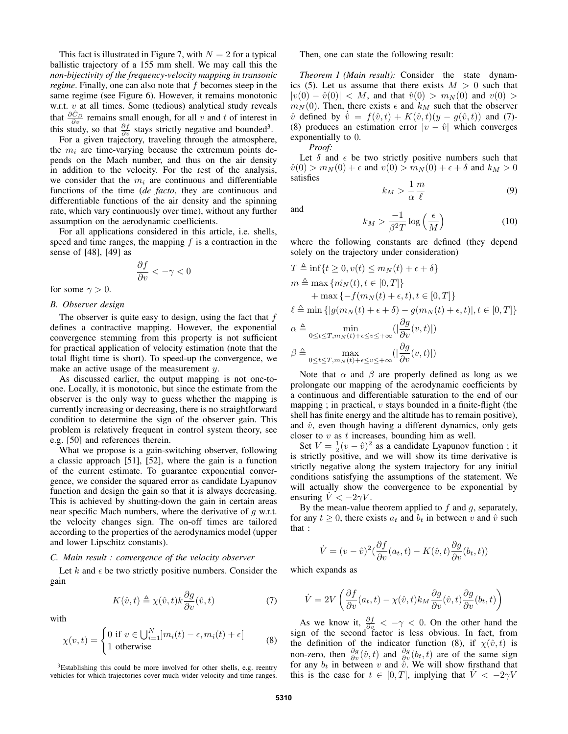This fact is illustrated in Figure 7, with  $N = 2$  for a typical ballistic trajectory of a 155 mm shell. We may call this the *non-bijectivity of the frequency-velocity mapping in transonic regime*. Finally, one can also note that f becomes steep in the same regime (see Figure 6). However, it remains monotonic w.r.t.  $v$  at all times. Some (tedious) analytical study reveals that  $\frac{\partial \hat{C}_D}{\partial v}$  remains small enough, for all v and t of interest in this study, so that  $\frac{\partial f}{\partial v}$  stays strictly negative and bounded<sup>3</sup>.

For a given trajectory, traveling through the atmosphere, the  $m_i$  are time-varying because the extremum points depends on the Mach number, and thus on the air density in addition to the velocity. For the rest of the analysis, we consider that the  $m_i$  are continuous and differentiable functions of the time (*de facto*, they are continuous and differentiable functions of the air density and the spinning rate, which vary continuously over time), without any further assumption on the aerodynamic coefficients.

For all applications considered in this article, i.e. shells, speed and time ranges, the mapping  $f$  is a contraction in the sense of [48], [49] as

$$
\frac{\partial f}{\partial v} < -\gamma < 0
$$

for some  $\gamma > 0$ .

# *B. Observer design*

The observer is quite easy to design, using the fact that f defines a contractive mapping. However, the exponential convergence stemming from this property is not sufficient for practical application of velocity estimation (note that the total flight time is short). To speed-up the convergence, we make an active usage of the measurement y.

As discussed earlier, the output mapping is not one-toone. Locally, it is monotonic, but since the estimate from the observer is the only way to guess whether the mapping is currently increasing or decreasing, there is no straightforward condition to determine the sign of the observer gain. This problem is relatively frequent in control system theory, see e.g. [50] and references therein.

What we propose is a gain-switching observer, following a classic approach [51], [52], where the gain is a function of the current estimate. To guarantee exponential convergence, we consider the squared error as candidate Lyapunov function and design the gain so that it is always decreasing. This is achieved by shutting-down the gain in certain areas near specific Mach numbers, where the derivative of  $g$  w.r.t. the velocity changes sign. The on-off times are tailored according to the properties of the aerodynamics model (upper and lower Lipschitz constants).

# *C. Main result : convergence of the velocity observer*

Let  $k$  and  $\epsilon$  be two strictly positive numbers. Consider the gain

$$
K(\hat{v},t) \triangleq \chi(\hat{v},t)k\frac{\partial g}{\partial v}(\hat{v},t)
$$
\n(7)

with

$$
\chi(v,t) = \begin{cases} 0 \text{ if } v \in \bigcup_{i=1}^{N} ]m_i(t) - \epsilon, m_i(t) + \epsilon[ \\ 1 \text{ otherwise} \end{cases}
$$
 (8)

<sup>3</sup>Establishing this could be more involved for other shells, e.g. reentry vehicles for which trajectories cover much wider velocity and time ranges.

Then, one can state the following result:

*Theorem 1 (Main result):* Consider the state dynamics (5). Let us assume that there exists  $M > 0$  such that  $|v(0) - \hat{v}(0)| < M$ , and that  $\hat{v}(0) > m_N(0)$  and  $v(0) >$  $m_N(0)$ . Then, there exists  $\epsilon$  and  $k_M$  such that the observer  $\hat{v}$  defined by  $\hat{v} = f(\hat{v}, t) + K(\hat{v}, t)(y - g(\hat{v}, t))$  and (7)-(8) produces an estimation error  $|v - \hat{v}|$  which converges exponentially to 0.

*Proof:*

Let  $\delta$  and  $\epsilon$  be two strictly positive numbers such that  $\hat{v}(0) > m_N(0) + \epsilon$  and  $v(0) > m_N(0) + \epsilon + \delta$  and  $k_M > 0$ satisfies

$$
k_M > \frac{1}{\alpha} \frac{m}{\ell} \tag{9}
$$

and

$$
k_M > \frac{-1}{\beta^2 T} \log\left(\frac{\epsilon}{M}\right) \tag{10}
$$

where the following constants are defined (they depend solely on the trajectory under consideration)

$$
T \triangleq \inf\{t \geq 0, v(t) \leq m_N(t) + \epsilon + \delta\}
$$
  
\n
$$
m \triangleq \max\{m_N(t), t \in [0, T]\}
$$
  
\n
$$
+ \max\{-f(m_N(t) + \epsilon, t), t \in [0, T]\}
$$
  
\n
$$
\ell \triangleq \min\{|g(m_N(t) + \epsilon + \delta) - g(m_N(t) + \epsilon, t)|, t \in [0, T]\}
$$
  
\n
$$
\alpha \triangleq \min_{0 \leq t \leq T, m_N(t) + \epsilon \leq v \leq +\infty} (\left|\frac{\partial g}{\partial v}(v, t)\right|)
$$
  
\n
$$
\beta \triangleq \max_{0 \leq t \leq T, m_N(t) + \epsilon \leq v \leq +\infty} (\left|\frac{\partial g}{\partial v}(v, t)\right|)
$$

Note that  $\alpha$  and  $\beta$  are properly defined as long as we prolongate our mapping of the aerodynamic coefficients by a continuous and differentiable saturation to the end of our mapping ; in practical,  $v$  stays bounded in a finite-flight (the shell has finite energy and the altitude has to remain positive), and  $\hat{v}$ , even though having a different dynamics, only gets closer to  $v$  as  $t$  increases, bounding him as well.

Set  $V = \frac{1}{2}(v - \hat{v})^2$  as a candidate Lyapunov function; it is strictly positive, and we will show its time derivative is strictly negative along the system trajectory for any initial conditions satisfying the assumptions of the statement. We will actually show the convergence to be exponential by ensuring  $\dot{V} < -2\gamma V$ .

By the mean-value theorem applied to  $f$  and  $g$ , separately, for any  $t \geq 0$ , there exists  $a_t$  and  $b_t$  in between v and  $\hat{v}$  such that :

$$
\dot{V} = (v - \hat{v})^2 \left(\frac{\partial f}{\partial v}(a_t, t) - K(\hat{v}, t)\frac{\partial g}{\partial v}(b_t, t)\right)
$$

which expands as

$$
\dot{V} = 2V \left( \frac{\partial f}{\partial v}(a_t, t) - \chi(\hat{v}, t) k_M \frac{\partial g}{\partial v}(\hat{v}, t) \frac{\partial g}{\partial v}(b_t, t) \right)
$$

As we know it,  $\frac{\partial f}{\partial v} < -\gamma < 0$ . On the other hand the sign of the second factor is less obvious. In fact, from the definition of the indicator function (8), if  $\chi(\hat{v}, t)$  is non-zero, then  $\frac{\partial g}{\partial v}(\hat{v}, t)$  and  $\frac{\partial g}{\partial v}(b_t, t)$  are of the same sign for any  $b_t$  in between v and  $\tilde{v}$ . We will show firsthand that this is the case for  $t \in [0, T]$ , implying that  $V < -2\gamma V$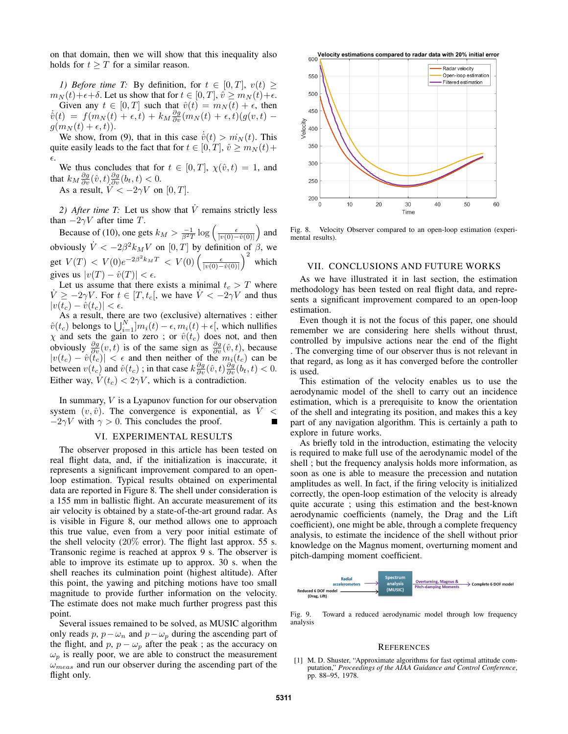on that domain, then we will show that this inequality also holds for  $t \geq T$  for a similar reason.

*1) Before time T:* By definition, for  $t \in [0, T]$ ,  $v(t) \geq$  $m_N(t)+\epsilon+\delta$ . Let us show that for  $t \in [0, T]$ ,  $\hat{v} \geq m_N(t)+\epsilon$ . Given any  $t \in [0, T]$  such that  $\hat{v}(t) = m_N(t) + \epsilon$ , then  $\dot{v}(t) = f(m_N(t) + \epsilon, t) + k_M \frac{\partial g}{\partial v}(m_N(t) + \epsilon, t)(g(v, t)$  $g(m_N(t) + \epsilon, t)$ .

We show, from (9), that in this case  $\dot{\hat{v}}(t) > m_N(t)$ . This quite easily leads to the fact that for  $t \in [0, T]$ ,  $\hat{v} \ge m_N(t) +$  $\epsilon$ .

We thus concludes that for  $t \in [0, T]$ ,  $\chi(\hat{v}, t) = 1$ , and that  $k_M \frac{\partial g}{\partial v}(\hat{v}, t) \frac{\partial g}{\partial v}(b_t, t) < 0$ .

As a result,  $V < -2\gamma V$  on [0, T].

2) After time T: Let us show that  $\dot{V}$  remains strictly less than  $-2\gamma V$  after time T.

Because of (10), one gets  $k_M > \frac{-1}{\beta^2 T} \log \left( \frac{\epsilon}{|v(0) - \hat{v}(0)|} \right)$  and obviously  $\dot{V} < -2\beta^2 k_M V$  on  $[0, T]$  by definition of  $\beta$ , we get  $V(T) < V(0)e^{-2\beta^2 k_M T} < V(0) \left(\frac{\epsilon}{|v(0)-\hat{v}(0)|}\right)^2$  which gives us  $|v(T) - \hat{v}(T)| < \epsilon$ .

Let us assume that there exists a minimal  $t_c > T$  where  $\dot{V} \ge -2\gamma V$ . For  $t \in [T, t_c]$ , we have  $\dot{V} < -2\gamma V$  and thus  $|v(t_c) - \hat{v}(t_c)| < \epsilon.$ 

As a result, there are two (exclusive) alternatives : either  $\hat{v}(t_c)$  belongs to  $\bigcup_{i=1}^{N} m_i(t) - \epsilon, m_i(t) + \epsilon$ , which nullifies  $\chi$  and sets the gain to zero; or  $\hat{v}(t_c)$  does not, and then obviously  $\frac{\partial g}{\partial v}(v, t)$  is of the same sign as  $\frac{\partial g}{\partial v}(\hat{v}, t)$ , because  $|v(t_c) - \hat{v}(t_c)| < \epsilon$  and then neither of the  $m_i(t_c)$  can be between  $v(t_c)$  and  $\hat{v}(t_c)$ ; in that case  $k \frac{\partial g}{\partial v}(\hat{v}, t) \frac{\partial g}{\partial v}(\hat{b}_t, t) < 0$ . Either way,  $\dot{V}(t_c) < 2\gamma V$ , which is a contradiction.

In summary,  $V$  is a Lyapunov function for our observation system  $(v, \hat{v})$ . The convergence is exponential, as  $V <$  $-2\gamma V$  with  $\gamma > 0$ . This concludes the proof.

#### VI. EXPERIMENTAL RESULTS

The observer proposed in this article has been tested on real flight data, and, if the initialization is inaccurate, it represents a significant improvement compared to an openloop estimation. Typical results obtained on experimental data are reported in Figure 8. The shell under consideration is a 155 mm in ballistic flight. An accurate measurement of its air velocity is obtained by a state-of-the-art ground radar. As is visible in Figure 8, our method allows one to approach this true value, even from a very poor initial estimate of the shell velocity  $(20\%$  error). The flight last approx. 55 s. Transonic regime is reached at approx 9 s. The observer is able to improve its estimate up to approx. 30 s. when the shell reaches its culmination point (highest altitude). After this point, the yawing and pitching motions have too small magnitude to provide further information on the velocity. The estimate does not make much further progress past this point.

Several issues remained to be solved, as MUSIC algorithm only reads p,  $p - \omega_n$  and  $p - \omega_p$  during the ascending part of the flight, and p,  $p - \omega_p$  after the peak ; as the accuracy on  $\omega_p$  is really poor, we are able to construct the measurement  $\omega_{meas}$  and run our observer during the ascending part of the flight only.



Fig. 8. Velocity Observer compared to an open-loop estimation (experimental results).

# VII. CONCLUSIONS AND FUTURE WORKS

As we have illustrated it in last section, the estimation methodology has been tested on real flight data, and represents a significant improvement compared to an open-loop estimation.

Even though it is not the focus of this paper, one should remember we are considering here shells without thrust, controlled by impulsive actions near the end of the flight . The converging time of our observer thus is not relevant in that regard, as long as it has converged before the controller is used.

This estimation of the velocity enables us to use the aerodynamic model of the shell to carry out an incidence estimation, which is a prerequisite to know the orientation of the shell and integrating its position, and makes this a key part of any navigation algorithm. This is certainly a path to explore in future works.

As briefly told in the introduction, estimating the velocity is required to make full use of the aerodynamic model of the shell ; but the frequency analysis holds more information, as soon as one is able to measure the precession and nutation amplitudes as well. In fact, if the firing velocity is initialized correctly, the open-loop estimation of the velocity is already quite accurate ; using this estimation and the best-known aerodynamic coefficients (namely, the Drag and the Lift coefficient), one might be able, through a complete frequency analysis, to estimate the incidence of the shell without prior knowledge on the Magnus moment, overturning moment and pitch-damping moment coefficient.



Fig. 9. Toward a reduced aerodynamic model through low frequency analysis

#### **REFERENCES**

[1] M. D. Shuster, "Approximate algorithms for fast optimal attitude computation," *Proceedings of the AIAA Guidance and Control Conference*, pp. 88–95, 1978.